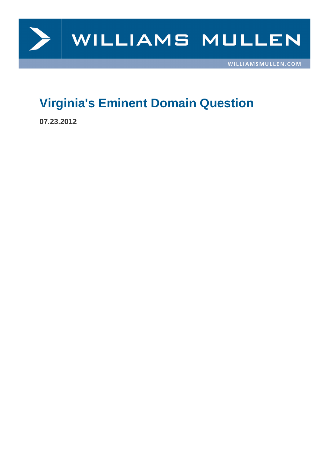

## **Virginia's Eminent Domain Question**

**07.23.2012**